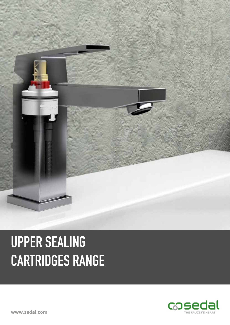

# **UPPER SEALING CARTRIDGES RANGE**

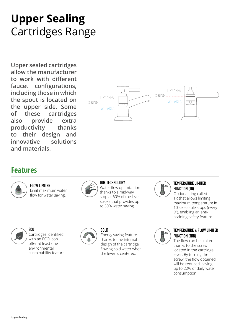## **Upper Sealing** Cartridges Range

**Upper sealed cartridges allow the manufacturer to work with different faucet configurations, including those in which the spout is located on the upper side. Some of these cartridges also provide extra productivity thanks to their design and innovative solutions and materials.**



### **Features**



**FLOW LIMITER** Limit maximum water flow for water saving.



#### **DUE TECHNOLOGY**

Water flow optimization thanks to a mid-way stop at 60% of the lever stroke that provides up to 50% water saving.



**ECO** Cartridges identified with an ECO icon offer at least one environmental sustainability feature.



**COLD**

Energy saving feature thanks to the internal design of the cartridge, flowing cold water when the lever is centered.



#### **TEMPERATURE LIMITER FUNCTION (TR)**

Optional ring called TR that allows limiting maximum temperature in 10 selectable stops (every 9º), enabling an antiscalding safety feature.



#### **TEMPERATURE & FLOW LIMITER FUNCTION (TRN)**

The flow can be limited thanks to the screw located in the cartridge lever. By turning the screw, the flow obtained will be reduced, saving up to 22% of daily water consumption.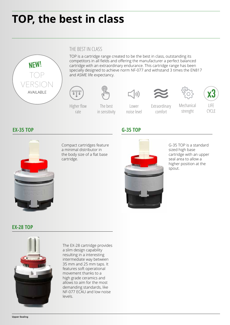## **TOP, the best in class**



#### THE BEST IN CLASS

TOP is a cartridge range created to be the best in class, outstanding its competitors in all fields and offering the manufacturer a perfect balanced cartridge with an extraordinary endurance. This cartridge range has been specially designed to achieve norm NF-077 and withstand 3 times the EN817 and ASME life expectancy.



The best in sensitivity



comfort



Mechanical strenght



CYCLE

**EX-35 TOP G-35 TOP**



Compact cartridges feature a minimal distributor in the body size of a flat base cartridge.

Higher flow rate

Lower noise level



G-35 TOP is a standard sized high base cartridge with an upper seal area to allow a higher position at the spout.

#### **EX-28 TOP**



The EX-28 cartridge provides a slim design capability resulting in a interesting intermediate way between 35 mm and 25 mm taps. It features soft operational movement thanks to a high grade ceramics and allows to aim for the most demanding standards, like NF-077 ECAU and low noise levels.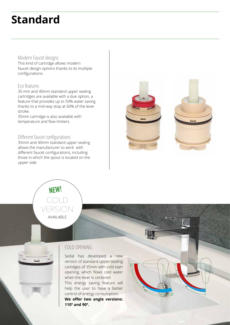### **Standard**

#### Modern Faucet designs

This kind of cartridge allows modern faucet design options thanks to its multiple configurations.

#### Eco features

Upper Sealing

35 mm and 40mm standard upper sealing cartridges are available with a due option, a feature that provides up to 50% water saving thanks to a mid-way stop at 60% of the lever stroke.

35mm cartridge is also available with temperature and flow limiters.

#### Different faucet configurations

35mm and 40mm standard upper sealing allows the manufacturer to work with different faucet configurations, including those in which the spout is located on the upper side.





#### COLD OPENING

Sedal has developed a new version of standard upper sealing cartidges of 35mm with cold start opening, which flows cold water when the lever is centered. This energy saving feature will help the user to have a better control of energy consumption. **We offer two angle versions: 110º and 90º.**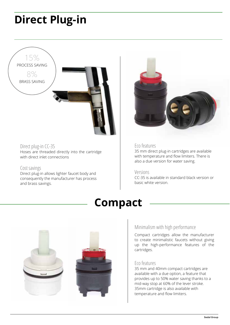### **Direct Plug-in**



#### Direct plug-in CC-35

Hoses are threaded directly into the cartridge with direct inlet connections

#### Cost savings

Direct plug-in allows lighter faucet body and consequently the manufacturer has process and brass savings.



#### Eco features

35 mm direct plug-in cartridges are available with temperature and flow limiters. There is also a due version for water saving.

#### Versions

CC-35 is available in standard black version or basic white version.





#### Minimalism with high performance

Compact cartridges allow the manufacturer to create minimalistic faucets without giving up the high-performance features of the cartridges.

#### Eco features

35 mm and 40mm compact cartridges are available with a due option, a feature that provides up to 50% water saving thanks to a mid-way stop at 60% of the lever stroke. 35mm cartridge is also available with temperature and flow limiters.